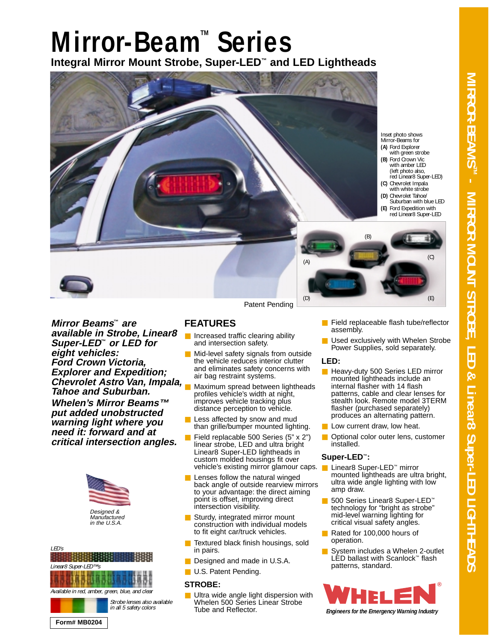# **Mirror-Beam<sup>™</sup> Series**

**Integral Mirror Mount Strobe, Super-LED™ and LED Lightheads**



Inset photo shows Mirror-Beams for **(A)** Ford Explorer with green strobe **(B)** Ford Crown Vic with amber LED (left photo also, red Linear8 Super-LED) **(C)** Chevrolet Impala with white strobe **(D)** Chevrolet Tahoe/ Suburban with blue LED **(E)** Ford Expedition with red Linear8 Super-LED



**Mirror Beams™ are available in Strobe, Linear8 Super-LED™ or LED for eight vehicles: Ford Crown Victoria, Explorer and Expedition; Chevrolet Astro Van, Impala, Tahoe and Suburban. Whelen's Mirror Beams™ put added unobstructed warning light where you need it: forward and at critical intersection angles.**







Patent Pending

# **FEATURES**

- Increased traffic clearing ability and intersection safety.
- Mid-level safety signals from outside the vehicle reduces interior clutter and eliminates safety concerns with air bag restraint systems.
- Maximum spread between lightheads profiles vehicle's width at night, improves vehicle tracking plus distance perception to vehicle.
- Less affected by snow and mud than grille/bumper mounted lighting.
- vehicle's existing mirror glamour caps. Linear8 Super-LED™ mirror Field replacable 500 Series (5" x 2") linear strobe, LED and ultra bright Linear8 Super-LED lightheads in custom molded housings fit over
- Lenses follow the natural winged back angle of outside rearview mirrors to your advantage: the direct aiming point is offset, improving direct intersection visibility.
- Sturdy, integrated mirror mount construction with individual models to fit eight car/truck vehicles.
- Textured black finish housings, sold in pairs.
- Designed and made in U.S.A.
- U.S. Patent Pending.

# **STROBE:**

Ultra wide angle light dispersion with Whelen 500 Series Linear Strobe Tube and Reflector.

- Field replaceable flash tube/reflector assembly.
- Used exclusively with Whelen Strobe Power Supplies, sold separately.

# **LED:**

- Heavy-duty 500 Series LED mirror mounted lightheads include an internal flasher with 14 flash patterns, cable and clear lenses for stealth look. Remote model 3TERM flasher (purchased separately) produces an alternating pattern.
- Low current draw, low heat.
- Optional color outer lens, customer installed.

#### **Super-LED™:**

- mounted lightheads are ultra bright, ultra wide angle lighting with low amp draw.
- 500 Series Linear8 Super-LED™ technology for "bright as strobe" mid-level warning lighting for critical visual safety angles.
- Rated for 100,000 hours of operation.
- System includes a Whelen 2-outlet LED ballast with Scanlock™ flash patterns, standard.



**Form# MB0204**